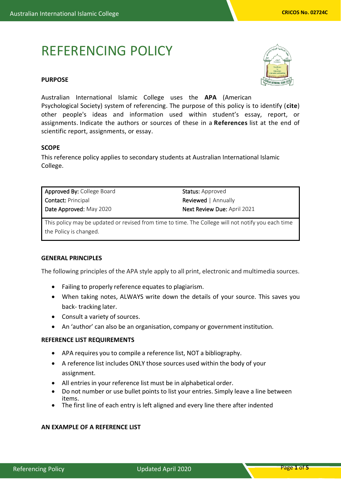# REFERENCING POLICY

# **PURPOSE**



Australian International Islamic College uses the **APA** (American Psychological Society) system of referencing. The purpose of this policy is to identify (**cite**) other people's ideas and information used within student's essay, report, or assignments. Indicate the authors or sources of these in a **References** list at the end of scientific report, assignments, or essay.

## **SCOPE**

This reference policy applies to secondary students at Australian International Islamic College.

| <b>Approved By: College Board</b> | <b>Status:</b> Approved            |
|-----------------------------------|------------------------------------|
| <b>Contact: Principal</b>         | <b>Reviewed</b>   Annually         |
| Date Approved: May 2020           | <b>Next Review Due: April 2021</b> |

This policy may be updated or revised from time to time. The College will not notify you each time the Policy is changed.

#### **GENERAL PRINCIPLES**

The following principles of the APA style apply to all print, electronic and multimedia sources.

- Failing to properly reference equates to plagiarism.
- When taking notes, ALWAYS write down the details of your source. This saves you back- tracking later.
- Consult a variety of sources.
- An 'author' can also be an organisation, company or government institution.

#### **REFERENCE LIST REQUIREMENTS**

- APA requires you to compile a reference list, NOT a bibliography.
- A reference list includes ONLY those sources used within the body of your assignment.
- All entries in your reference list must be in alphabetical order.
- Do not number or use bullet points to list your entries. Simply leave a line between items.
- The first line of each entry is left aligned and every line there after indented

# **AN EXAMPLE OF A REFERENCE LIST**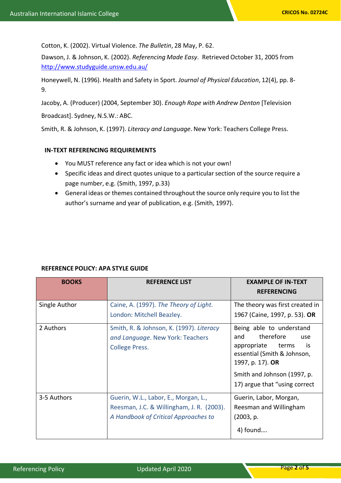Cotton, K. (2002). Virtual Violence. *The Bulletin*, 28 May, P. 62.

Dawson, J. & Johnson, K. (2002). *Referencing Made Easy*. Retrieved October 31, 2005 from <http://www.studyguide.unsw.edu.au/>

Honeywell, N. (1996). Health and Safety in Sport. *Journal of Physical Education*, 12(4), pp. 8- 9.

Jacoby, A. (Producer) (2004, September 30). *Enough Rope with Andrew Denton* [Television

Broadcast]. Sydney, N.S.W.: ABC.

Smith, R. & Johnson, K. (1997). *Literacy and Language*. New York: Teachers College Press.

## **IN-TEXT REFERENCING REQUIREMENTS**

- You MUST reference any fact or idea which is not your own!
- Specific ideas and direct quotes unique to a particular section of the source require a page number, e.g. (Smith, 1997, p.33)
- General ideas or themes contained throughout the source only require you to list the author's surname and year of publication, e.g. (Smith, 1997).

| <b>BOOKS</b>  | <b>REFERENCE LIST</b>                                                                                                     | <b>EXAMPLE OF IN-TEXT</b><br><b>REFERENCING</b>                                                                                                                                                      |
|---------------|---------------------------------------------------------------------------------------------------------------------------|------------------------------------------------------------------------------------------------------------------------------------------------------------------------------------------------------|
| Single Author | Caine, A. (1997). The Theory of Light.<br>London: Mitchell Beazley.                                                       | The theory was first created in<br>1967 (Caine, 1997, p. 53). OR                                                                                                                                     |
| 2 Authors     | Smith, R. & Johnson, K. (1997). Literacy<br>and Language. New York: Teachers<br><b>College Press.</b>                     | Being able to understand<br>therefore<br>and<br>use<br>is<br>appropriate<br>terms<br>essential (Smith & Johnson,<br>1997, p. 17). OR<br>Smith and Johnson (1997, p.<br>17) argue that "using correct |
| 3-5 Authors   | Guerin, W.L., Labor, E., Morgan, L.,<br>Reesman, J.C. & Willingham, J. R. (2003).<br>A Handbook of Critical Approaches to | Guerin, Labor, Morgan,<br>Reesman and Willingham<br>(2003, p.<br>4) found                                                                                                                            |

# **REFERENCE POLICY: APA STYLE GUIDE**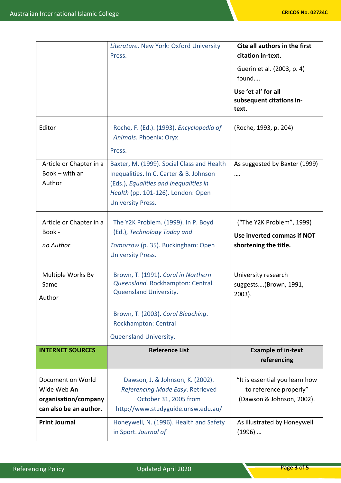|                                                                                    | Literature. New York: Oxford University<br>Press.                                                                                                                                                 | Cite all authors in the first<br>citation in-text.<br>Guerin et al. (2003, p. 4)<br>found |
|------------------------------------------------------------------------------------|---------------------------------------------------------------------------------------------------------------------------------------------------------------------------------------------------|-------------------------------------------------------------------------------------------|
|                                                                                    |                                                                                                                                                                                                   | Use 'et al' for all<br>subsequent citations in-<br>text.                                  |
| Editor                                                                             | Roche, F. (Ed.). (1993). Encyclopedia of<br>Animals. Phoenix: Oryx<br>Press.                                                                                                                      | (Roche, 1993, p. 204)                                                                     |
| Article or Chapter in a<br>Book $-$ with an<br>Author                              | Baxter, M. (1999). Social Class and Health<br>Inequalities. In C. Carter & B. Johnson<br>(Eds.), Equalities and Inequalities in<br>Health (pp. 101-126). London: Open<br><b>University Press.</b> | As suggested by Baxter (1999)<br>                                                         |
| Article or Chapter in a<br>Book -<br>no Author                                     | The Y2K Problem. (1999). In P. Boyd<br>(Ed.), Technology Today and<br>Tomorrow (p. 35). Buckingham: Open<br><b>University Press.</b>                                                              | ("The Y2K Problem", 1999)<br>Use inverted commas if NOT<br>shortening the title.          |
| Multiple Works By<br>Same<br>Author                                                | Brown, T. (1991). Coral in Northern<br>Queensland. Rockhampton: Central<br>Queensland University.<br>Brown, T. (2003). Coral Bleaching.<br>Rockhampton: Central<br>Queensland University.         | University research<br>suggests(Brown, 1991,<br>2003).                                    |
| <b>INTERNET SOURCES</b>                                                            | <b>Reference List</b>                                                                                                                                                                             | <b>Example of in-text</b><br>referencing                                                  |
| Document on World<br>Wide Web An<br>organisation/company<br>can also be an author. | Dawson, J. & Johnson, K. (2002).<br>Referencing Made Easy. Retrieved<br>October 31, 2005 from<br>http://www.studyguide.unsw.edu.au/                                                               | "It is essential you learn how<br>to reference properly"<br>(Dawson & Johnson, 2002).     |
| <b>Print Journal</b>                                                               | Honeywell, N. (1996). Health and Safety<br>in Sport. Journal of                                                                                                                                   | As illustrated by Honeywell<br>$(1996)$                                                   |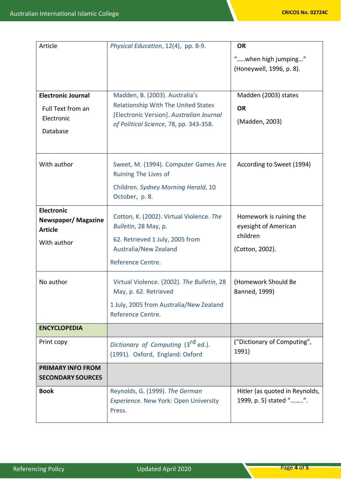| Article                                                                         | Physical Education, 12(4), pp. 8-9.                                                                                                                                | <b>OR</b>                                                                      |
|---------------------------------------------------------------------------------|--------------------------------------------------------------------------------------------------------------------------------------------------------------------|--------------------------------------------------------------------------------|
|                                                                                 |                                                                                                                                                                    | "when high jumping"<br>(Honeywell, 1996, p. 8).                                |
| <b>Electronic Journal</b><br>Full Text from an<br>Electronic<br>Database        | Madden, B. (2003). Australia's<br><b>Relationship With The United States</b><br>[Electronic Version]. Australian Journal<br>of Political Science, 78, pp. 343-358. | Madden (2003) states<br><b>OR</b><br>(Madden, 2003)                            |
| With author                                                                     | Sweet, M. (1994). Computer Games Are<br>Ruining The Lives of<br>Children. Sydney Morning Herald, 10<br>October, p. 8.                                              | According to Sweet (1994)                                                      |
| <b>Electronic</b><br><b>Newspaper/Magazine</b><br><b>Article</b><br>With author | Cotton, K. (2002). Virtual Violence. The<br>Bulletin, 28 May, p.<br>62. Retrieved 1 July, 2005 from<br>Australia/New Zealand<br>Reference Centre.                  | Homework is ruining the<br>eyesight of American<br>children<br>(Cotton, 2002). |
| No author                                                                       | Virtual Violence. (2002). The Bulletin, 28<br>May, p. 62. Retrieved<br>1 July, 2005 from Australia/New Zealand<br>Reference Centre.                                | (Homework Should Be<br>Banned, 1999)                                           |
| <b>ENCYCLOPEDIA</b>                                                             |                                                                                                                                                                    |                                                                                |
| Print copy                                                                      | Dictionary of Computing (3 <sup>rd</sup> ed.).<br>(1991). Oxford, England: Oxford                                                                                  | ("Dictionary of Computing",<br>1991)                                           |
| <b>PRIMARY INFO FROM</b><br><b>SECONDARY SOURCES</b>                            |                                                                                                                                                                    |                                                                                |
| <b>Book</b>                                                                     | Reynolds, G. (1999). The German<br>Experience. New York: Open University<br>Press.                                                                                 | Hitler (as quoted in Reynolds,<br>1999, p. 5) stated "".                       |